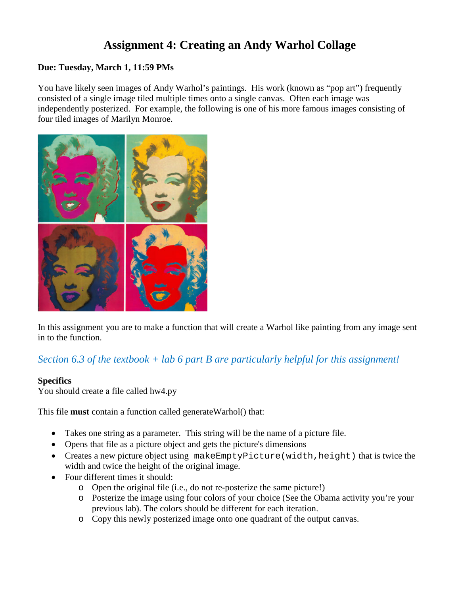# **Assignment 4: Creating an Andy Warhol Collage**

### **Due: Tuesday, March 1, 11:59 PMs**

You have likely seen images of Andy Warhol's paintings. His work (known as "pop art") frequently consisted of a single image tiled multiple times onto a single canvas. Often each image was independently posterized. For example, the following is one of his more famous images consisting of four tiled images of Marilyn Monroe.



In this assignment you are to make a function that will create a Warhol like painting from any image sent in to the function.

## *Section 6.3 of the textbook + lab 6 part B are particularly helpful for this assignment!*

#### **Specifics**

You should create a file called hw4.py

This file **must** contain a function called generateWarhol() that:

- Takes one string as a parameter. This string will be the name of a picture file.
- Opens that file as a picture object and gets the picture's dimensions
- Creates a new picture object using makeEmptyPicture(width,height) that is twice the width and twice the height of the original image.
- Four different times it should:
	- o Open the original file (i.e., do not re-posterize the same picture!)
	- o Posterize the image using four colors of your choice (See the Obama activity you're your previous lab). The colors should be different for each iteration.
	- o Copy this newly posterized image onto one quadrant of the output canvas.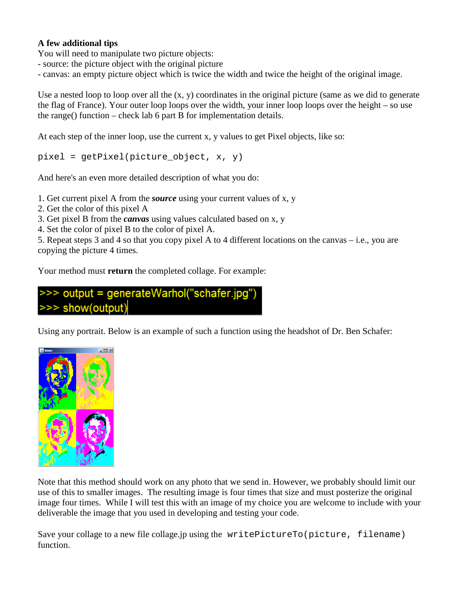### **A few additional tips**

You will need to manipulate two picture objects:

- source: the picture object with the original picture

- canvas: an empty picture object which is twice the width and twice the height of the original image.

Use a nested loop to loop over all the (x, y) coordinates in the original picture (same as we did to generate the flag of France). Your outer loop loops over the width, your inner loop loops over the height – so use the range() function – check lab 6 part B for implementation details.

At each step of the inner loop, use the current x, y values to get Pixel objects, like so:

pixel = getPixel(picture\_object, x, y)

And here's an even more detailed description of what you do:

1. Get current pixel A from the *source* using your current values of x, y

2. Get the color of this pixel A

- 3. Get pixel B from the *canvas* using values calculated based on x, y
- 4. Set the color of pixel B to the color of pixel A.

5. Repeat steps 3 and 4 so that you copy pixel A to 4 different locations on the canvas – i.e., you are copying the picture 4 times.

Your method must **return** the completed collage. For example:

# >>> output = generateWarhol("schafer.jpg") >>> show(output)

Using any portrait. Below is an example of such a function using the headshot of Dr. Ben Schafer:



Note that this method should work on any photo that we send in. However, we probably should limit our use of this to smaller images. The resulting image is four times that size and must posterize the original image four times. While I will test this with an image of my choice you are welcome to include with your deliverable the image that you used in developing and testing your code.

Save your collage to a new file collage.jp using the writePictureTo(picture, filename) function.